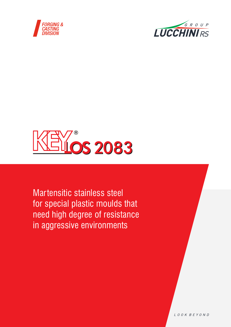





Martensitic stainless steel for special plastic moulds that need high degree of resistance in aggressive environments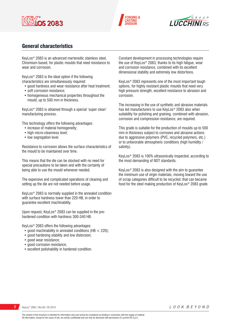





# General characteristics

KeyLos® 2083 is an advanced martensitic stainless steel, Chromium based, for plastic moulds that need resistance to wear and corrosion.

KeyLos® 2083 is the ideal option if the following characteristics are simultaneously required:

- good hardness and wear resistance after heat treatment;
- soft corrosion resistance;
- homogeneous mechanical properties throughout the mould, up to 500 mm in thickness.

KeyLos® 2083 is obtained through a special 'super clean' manufacturing process.

This technology offers the following advantages:

- increase of material homogeneity;
- high micro-cleanness level;
- low segregation level.

Resistance to corrosion allows the surface characteristics of the mould to be maintained over time.

This means that the die can be stocked with no need for special precautions to be taken and with the certainty of being able to use the mould whenever needed.

The expensive and complicated operations of cleaning and setting up the die are not needed before usage.

KeyLos® 2083 is normally supplied in the annealed condition with surface hardness lower than 220 HB, in order to guarantee excellent machinability.

Upon request, KeyLos® 2083 can be supplied in the prehardened condition with hardness 300-340 HB.

KeyLos® 2083 offers the following advantages:

- good machinability in annealed conditions (HB < 220);
- good hardening stability and low distorsion;
- good wear resistance;
- good corrosion resistance:
- excellent polishability in hardened condition.

Constant development in processing technologies require the use of KeyLos® 2083, thanks to its high fatigue, wear and corrosion resistance, combined with its excellent dimensional stability and extremely low distortions.

KeyLos® 2083 represents one of the most important tough options, for highly resistant plastic moulds that need very high pressure strength, excellent resistance to abrasion and corrosion.

The increasing in the use of synthetic and abrasive materials has led manufacturers to use KeyLos® 2083 also when suitability for polishing and graining, combined with abrasion, corrosion and compression resistance, are required.

This grade is suitable for the production of moulds up to 500 mm in thickness subject to corrosive and abrasive actions due to aggressive polymers (PVC, recycled polymers, etc.) or to unfavorable atmospheric conditions (high humidity / salinity).

KeyLos® 2083 is 100% ultrasonically inspected, according to the most demanding of NDT standards.

KeyLos® 2083 is also designed with the aim to guarantee the minimum use of virgin materials, moving toward the use of scrap categories difficult to be recycled, that can became food for the steel making production of KeyLos® 2083 grade.

LOOK BEYOND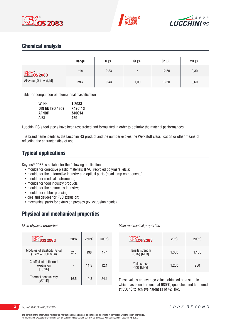





# Chemical analysis

|                                | Range | $C[\%]$ | Si [%] | Cr [%] | $Mn$ [%] |
|--------------------------------|-------|---------|--------|--------|----------|
| $M$ $\mathbb{N}$ $\infty$ 2083 | min   | 0,33    |        | 12,50  | 0,30     |
| Alloying [% in weight]         | max   | 0,43    | 1,00   | 13,50  | 0,60     |

Table for comparison of international classification

| W. Nr.                 | 1.2083  |
|------------------------|---------|
| <b>DIN EN ISO 4957</b> | X42Cr13 |
| <b>AFNOR</b>           | Z40C14  |
| <b>AISI</b>            | 420     |

Lucchini RS's tool steels have been researched and formulated in order to optimize the material performances.

The brand name identifies the Lucchini RS product and the number evokes the Werkstoff classification or other means of reflecting the characteristics of use.

# Typical applications

KeyLos® 2083 is suitable for the following applications:

- moulds for corrosive plastic materials (PVC, recycled polymers, etc.);
- moulds for the automotive industry and optical parts (head lamp components);
- moulds for medical instruments;
- moulds for food industry products;
- moulds for the cosmetics industry;
- moulds for rubber pressing;
- dies and gauges for PVC extrusion;
- mechanical parts for extrusion presses (ex. extrusion heads).

## Physical and mechanical properties

### *Main physical properties*

| <b>KEYOS 2083</b>                                            | $20^{\circ}$ C | $250^{\circ}$ C | $500^{\circ}$ C |
|--------------------------------------------------------------|----------------|-----------------|-----------------|
| Modulus of elasticity [GPa]<br>(1GPa=1000 MPa)               | 210            | 198             | 177             |
| Coefficient of thermal<br>expansion<br>[10 <sup>-6</sup> /K] |                | 11,5            | 12,1            |
| Thermal conductivity<br>[W/mK]                               | 16,5           | 19.8            | 24,1            |

### *Main mechanical properties*

| <u><b>EXOS 2083</b></u>           | $20^{\circ}$ C | $200\textdegree C$ |
|-----------------------------------|----------------|--------------------|
| Tensile strength<br>(UTS) [MPa]   | 1.350          | 1.100              |
| <b>Yield stress</b><br>(YS) [MPa] | 1.200          | 980                |

These values are average values obtained on a sample which has been hardened at 980°C, quenched and tempered at 550 °C to achieve hardness of 42 HRc.

**3** KeyLos® 2083 / Rev.00 / 05.2019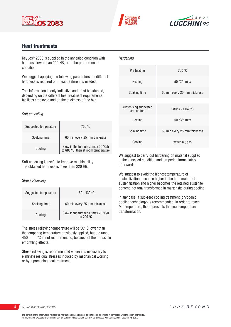





# Heat treatments

KeyLos® 2083 is supplied in the annealed condition with hardness lower than 220 HB, or in the pre-hardened condition.

We suggest applying the following parameters if a different hardness is required or if heat treatment is needed.

This information is only indicative and must be adapted, depending on the different heat treatment requirements, facilities employed and on the thickness of the bar.

### *Soft annealing*

| Suggested temperature | 750 °C                                                                             |
|-----------------------|------------------------------------------------------------------------------------|
| Soaking time          | 60 min every 25 mm thickness                                                       |
| Cooling               | Slow in the furnace at max 20 $\degree$ C/h<br>to 600 °C, then at room temperature |

Soft annealing is useful to improve machinability. The obtained hardness is lower than 220 HB.

### *Stress Relieving*

| Suggested temperature | 150 - 430 °C                                             |
|-----------------------|----------------------------------------------------------|
| Soaking time          | 60 min every 25 mm thickness                             |
| Cooling               | Slow in the furnace at max 20 °C/h<br>to 200 $\degree$ C |

The stress relieving temperature will be 50° C lower than the tempering temperature previously applied, but the range 450 – 550°C is not recommended, because of their possible embrittling effects.

Stress relieving is recommended where it is necessary to eliminate residual stresses induced by mechanical working or by a preceding heat treatment.

| Hardening                            |                                      |
|--------------------------------------|--------------------------------------|
| Pre heating                          | 700 °C                               |
| Heating                              | 50 $\degree$ C/h max                 |
| Soaking time                         | 60 min every 25 mm thickness         |
|                                      |                                      |
| Austenising suggested<br>temperature | $980^{\circ}$ C - 1.040 $^{\circ}$ C |
| Heating                              | 50 $\degree$ C/h max                 |
| Soaking time                         | 60 min every 25 mm thickness         |
| Cooling                              | water, air, gas                      |

We suggest to carry out hardening on material supplied in the annealed condition and tempering immediately afterwards.

We suggest to avoid the highest temperature of austenitization, because higher is the temperature of austenitization and higher becomes the retained austenite content, not total transformed in martensite during cooling.

In any case, a sub-zero cooling treatment (cryogenic cooling technology) is recommended, in order to reach Mf temperature, that represents the final temperature transformation.

**4** KeyLos® 2083 / Rev.00 / 05.2019

LOOK BEYOND

The content of this brochure is intended for information only and cannot be considered as binding in connection with the supply of material. All information, except for the cases of law, are strictly confidential and can only be disclosed with permission of Lucchini RS S.p.A.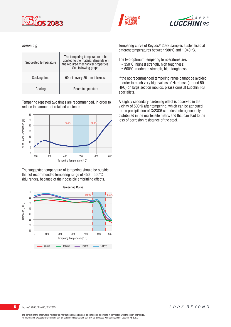





### *Tempering*



Tempering repeated two times are recommended, in order to reduce the amount of retained austenite.



The suggested temperature of tempering should be outside the not recommended tempering range of 450 – 550°C (blu range), because of their possible embrittling effects.



Tempering curve of KeyLos® 2083 samples austenitised at different temperatures between 980°C and 1.040 °C.

The two optimum tempering temperatures are:

- 350°C: highest strength, high toughness;
- 600°C: moderate strength, high toughness.

If the not recommended tempering range cannot be avoided, in order to reach very high values of Hardness (around 50 HRC) on large section moulds, please consult Lucchini RS specialists.

A slightly secondary hardening effect is observed in the vicinity of 500°C after tempering, which can be attributed to the precipitation of Cr23C6 carbides heterogeneously distributed in the martensite matrix and that can lead to the loss of corrosion resistance of the steel.

**5** KeyLos® 2083 / Rev.00 / 05.2019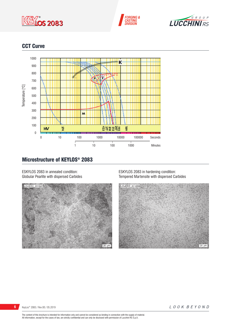





# CCT Curve



# Microstructure of KEYLOS® 2083

ESKYLOS 2083 in annealed condition: Globular Pearlite with dispersed Carbides



ESKYLOS 2083 in hardening condition: Tempered Martensite with dispersed Carbides



KeyLos® 2083 / Rev.00 / 05.2019

LOOK BEYOND

The content of this brochure is intended for information only and cannot be considered as binding in connection with the supply of material.<br>All information, except for the cases of law, are strictly confidential and can o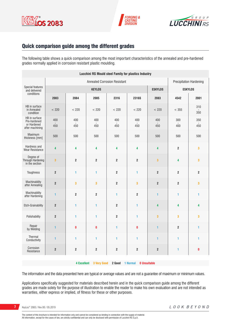





# Quick comparison guide among the different grades

The following table shows a quick comparison among the most important characteristics of the annealed and pre-hardened grades normally applied in corrosion resistant plastic moulding.

| <b>Lucchini RS Mould steel Family for plastics Industry</b>     |                                     |                         |                         |                         |                                |                         |                |                         |
|-----------------------------------------------------------------|-------------------------------------|-------------------------|-------------------------|-------------------------|--------------------------------|-------------------------|----------------|-------------------------|
|                                                                 | <b>Annealed Corrosion Resistant</b> |                         |                         |                         | <b>Precipitation Hardening</b> |                         |                |                         |
| Special features<br>and delivered                               |                                     | <b>KEYLOS</b>           |                         |                         | <b>ESKYLOS</b>                 | <b>ESKYLOS</b>          |                |                         |
| conditions                                                      | 2083                                | 2084                    | 2085                    | 2316                    | 2316S                          | 2083                    | 4542           | 2001                    |
| HB in surface<br>in Annealed<br>condition                       | < 220                               | < 220                   | < 220                   | < 220                   | < 220                          | < 220                   | < 355          | 310<br>350              |
| HB in surface<br>Pre-hardened<br>or Hardened<br>after machining | 400<br>450                          | 400<br>450              | 400<br>450              | 400<br>450              | 400<br>450                     | 400<br>450              | 300<br>400     | 350<br>450              |
| Maximum<br>thickness [mm]                                       | 500                                 | 500                     | 500                     | 500                     | 500                            | 500                     | 500            | 500                     |
| Hardness and<br><b>Wear Resistance</b>                          | 4                                   | 4                       | 4                       | 4                       | 4                              | 4                       | $\mathbf 2$    | 3                       |
| Degree of<br>Through Hardening<br>in the section                | $\overline{\mathbf{3}}$             | $\overline{2}$          | $\overline{\mathbf{c}}$ | $\overline{2}$          | $\overline{\mathbf{2}}$        | $\overline{\mathbf{3}}$ | 4              | $\overline{\mathbf{3}}$ |
| Toughness                                                       | $\overline{2}$                      | 1                       | 1                       | $\overline{\mathbf{2}}$ | 1                              | $\boldsymbol{2}$        | $\overline{2}$ | $\overline{2}$          |
| Machinability<br>after Annealing                                | $\boldsymbol{2}$                    | 3                       | 3                       | $\overline{2}$          | 3                              | $\boldsymbol{2}$        | $\mathbf 2$    | 3                       |
| Machinability<br>after Hardening                                | $\mathbf{1}$                        | $\overline{\mathbf{2}}$ | $\overline{\mathbf{c}}$ | 1                       | $\overline{2}$                 | 1                       | 1              | 1                       |
| <b>Etch-Grainability</b>                                        | $\mathbf 2$                         | $\mathbf{1}$            | $\mathbf{1}$            | $\overline{\mathbf{2}}$ | 1                              | 4                       | 4              | 4                       |
| Polishability                                                   | $\overline{2}$                      | 1                       | 1                       | $\overline{2}$          | 1                              | 3                       | 3              | 3                       |
| Repair<br>by Welding                                            | 1                                   | $\mathbf{0}$            | $\mathbf{0}$            | 1                       | $\bf{0}$                       | $\mathbf{1}$            | $\overline{2}$ | $\mathbf{1}$            |
| Thermal<br>Conductivity                                         | $\blacksquare$                      | 1                       | 1                       | 1                       | 1                              | 1                       | 1              | 1                       |
| Corrosion<br>Resistance                                         | $\mathbf 2$                         | $\boldsymbol{2}$        | $\overline{\mathbf{c}}$ | $\overline{\mathbf{2}}$ | $\overline{\mathbf{2}}$        | $\boldsymbol{2}$        | 1              | $\pmb{0}$               |
|                                                                 |                                     |                         |                         |                         |                                |                         |                |                         |

**4 Excellent 3 Very Good 2 Good 1 Normal 0 Unsuitable**

The information and the data presented here are typical or average values and are not a guarantee of maximum or minimum values.

Applications specifically suggested for materials described herein and in the quick comparison guide among the different grades are made solely for the purpose of illustration to enable the reader to make his own evaluation and are not intended as warranties, either express or implied, of fitness for these or other purposes.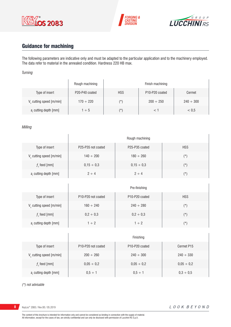





# Guidance for machining

The following parameters are indicative only and must be adapted to the particular application and to the machinery employed. The data refer to material in the annealed condition. Hardness 220 HB max.

### *Turning*

|                                      | Rough machining                         |            | Finish machining                        |                |
|--------------------------------------|-----------------------------------------|------------|-----------------------------------------|----------------|
| Type of insert                       | P <sub>20</sub> -P <sub>40</sub> coated | <b>HSS</b> | P <sub>10</sub> -P <sub>20</sub> coated | Cermet         |
| V <sub>c</sub> cutting speed [m/min] | $170 \div 220$                          | $(\star)$  | $200 \div 250$                          | $240 \div 300$ |
| a, cutting depth [mm]                | $1 \div 5$                              | (*)        |                                         | < 0.5          |

### *Milling*

|                                      |                    | Rough machining |                |
|--------------------------------------|--------------------|-----------------|----------------|
| Type of insert                       | P25-P35 not coated | P25-P35 coated  | <b>HSS</b>     |
| $V_c$ cutting speed [m/min]          | $140 \div 200$     | $180 \div 260$  | $(*)$          |
| $fz$ feed [mm]                       | $0,15 \div 0,3$    | $0,15 \div 0,3$ | $(*)$          |
| a <sub>r</sub> cutting depth [mm]    | $2 \div 4$         | $2 \div 4$      | $(\star)$      |
|                                      |                    |                 |                |
|                                      |                    | Pre-finishing   |                |
| Type of insert                       | P10-P20 not coated | P10-P20 coated  | <b>HSS</b>     |
| $V_c$ cutting speed [m/min]          | $160 \div 240$     | $240 \div 280$  | $(\star)$      |
| $fz$ feed [mm]                       | $0,2 \div 0,3$     | $0,2 \div 0,3$  | $(\star)$      |
| a, cutting depth [mm]                | $1 \div 2$         | $1 \div 2$      | $(\star)$      |
|                                      |                    |                 |                |
|                                      |                    | Finishing       |                |
| Type of insert                       | P10-P20 not coated | P10-P20 coated  | Cermet P15     |
| V <sub>c</sub> cutting speed [m/min] | $200 \div 260$     | $240 \div 300$  | $240 \div 330$ |

feed [mm]  $0.05 \div 0.2$   $0.05 \div 0.2$   $0.05 \div 0.2$   $0.05 \div 0.2$ 

ar cutting depth [mm] 0,5 ÷ 1 0,5 ÷ 1 0,3 ÷ 0,5

*(\*) not advisable*

**8** KeyLos® 2083 / Rev.00 / 05.2019

 $f<sub>z</sub>$  feed [mm]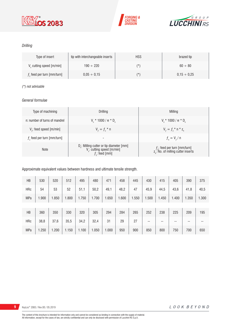





### *Drilling*

| Type of insert                       | tip with interchangeable inserts | <b>HSS</b> | brazed tip       |
|--------------------------------------|----------------------------------|------------|------------------|
| V <sub>c</sub> cutting speed [m/min] | $190 \div 220$                   | $(\star)$  | $60 \div 80$     |
| $fz$ feed per turn [mm/turn]         | $0.05 \div 0.15$                 | $(\star)$  | $0.15 \div 0.25$ |

### *(\*) not advisable*

### *General formulae*

| Type of machining             | Drilling                                                                                                          | Milling                                                                             |
|-------------------------------|-------------------------------------------------------------------------------------------------------------------|-------------------------------------------------------------------------------------|
| n: number of turns of mandrel | $V_r * 1000 / \pi * D_r$                                                                                          | $V_r * 1000 / \pi * D_r$                                                            |
| $Vf$ : feed speed [m/min]     | $V_{f} = f_{7}$ * n                                                                                               | $V_{f} = f_{i} * n * z_{n}$                                                         |
| $fz$ feed per turn [mm/turn]  | $\overline{\phantom{a}}$                                                                                          | $f_{n} = V_{f} / n$                                                                 |
| <b>Note</b>                   | D <sub>r</sub> : Milling cutter or tip diameter [mm]<br>V <sub>c</sub> : cutting speed [m/min]<br>$f$ ; feed [mm] | $f_{n}$ : feed per turn [mm/turn]<br>z <sub>n</sub> : No. of milling cutter inserts |

### Approximate equivalent values between hardness and ultimate tensile strength.

| HB         | 530   | 520   | 512   | 495   | 480   | 471   | 458   | 445   | 430   | 415   | 405   | 390   | 375   |
|------------|-------|-------|-------|-------|-------|-------|-------|-------|-------|-------|-------|-------|-------|
| <b>HRc</b> | 54    | 53    | 52    | 51,1  | 50,2  | 49,1  | 48,2  | 47    | 45,9  | 44,5  | 43,6  | 41,8  | 40,5  |
| <b>MPa</b> | 1.900 | 1.850 | 1.800 | 1.750 | 1.700 | 1.650 | 1.600 | 1.550 | 1.500 | 1.450 | 1.400 | 1.350 | 1.300 |
|            |       |       |       |       |       |       |       |       |       |       |       |       |       |
| HB         | 360   | 350   | 330   | 320   | 305   | 294   | 284   | 265   | 252   | 238   | 225   | 209   | 195   |
| <b>HRc</b> | 38,8  | 37,6  | 35,5  | 34,2  | 32,4  | 31    | 29    | 27    | --    | --    | --    | --    | --    |
| <b>MPa</b> | 1.250 | 1.200 | 1.150 | 1.100 | 1.050 | 1.000 | 950   | 900   | 850   | 800   | 750   | 700   | 650   |